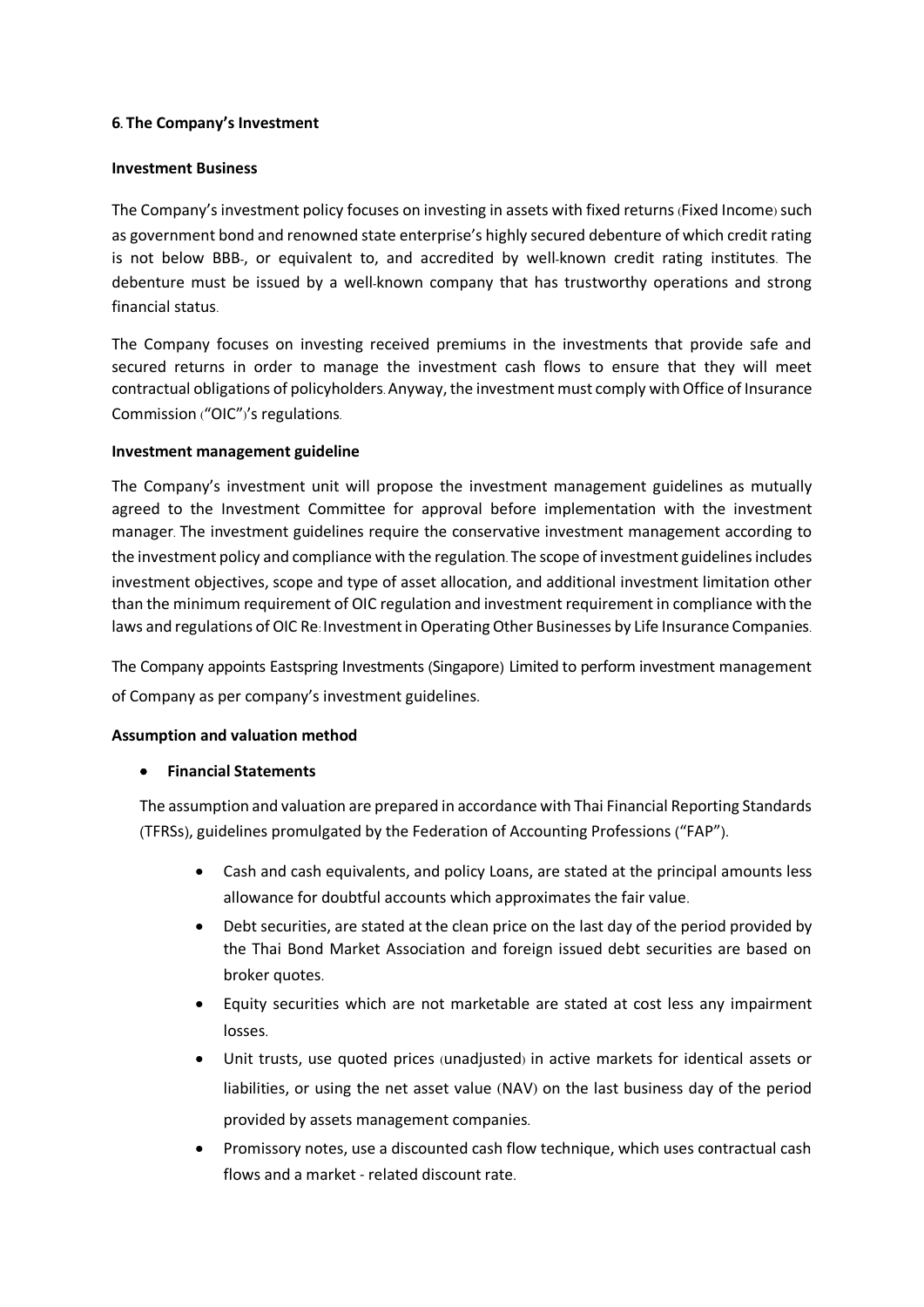#### **6. The Company's Investment**

#### **Investment Business**

The Company's investment policy focuses on investing in assets with fixed returns (Fixed Income) such as government bond and renowned state enterprise's highly secured debenture of which credit rating is not below BBB-, or equivalent to, and accredited by well-known credit rating institutes. The debenture must be issued by a well-known company that has trustworthy operations and strong financial status.

The Company focuses on investing received premiums in the investments that provide safe and secured returns in order to manage the investment cash flows to ensure that they will meet contractual obligations of policyholders.Anyway, the investment must comply with Office of Insurance Commission ("OIC")'s regulations.

### **Investment management guideline**

The Company's investment unit will propose the investment management guidelines as mutually agreed to the Investment Committee for approval before implementation with the investment manager. The investment guidelines require the conservative investment management according to the investment policy and compliance with the regulation. The scope of investment guidelines includes investment objectives, scope and type of asset allocation, and additional investment limitation other than the minimum requirement of OIC regulation and investment requirement in compliance with the laws and regulations of OIC Re: Investment in Operating Other Businesses by Life Insurance Companies.

The Company appoints Eastspring Investments (Singapore) Limited to perform investment management of Company as per company's investment guidelines.

# **Assumption and valuation method**

# • **Financial Statements**

The assumption and valuation are prepared in accordance with Thai Financial Reporting Standards (TFRSs), guidelines promulgated by the Federation of Accounting Professions ("FAP").

- Cash and cash equivalents, and policy Loans, are stated at the principal amounts less allowance for doubtful accounts which approximates the fair value.
- Debt securities, are stated atthe clean price on the last day of the period provided by the Thai Bond Market Association and foreign issued debt securities are based on broker quotes.
- Equity securities which are not marketable are stated at cost less any impairment losses.
- Unit trusts, use quoted prices (unadjusted) in active markets for identical assets or liabilities, or using the net asset value (NAV) on the last business day of the period provided by assets management companies.
- Promissory notes, use a discounted cash flow technique, which uses contractual cash flows and a market - related discount rate.